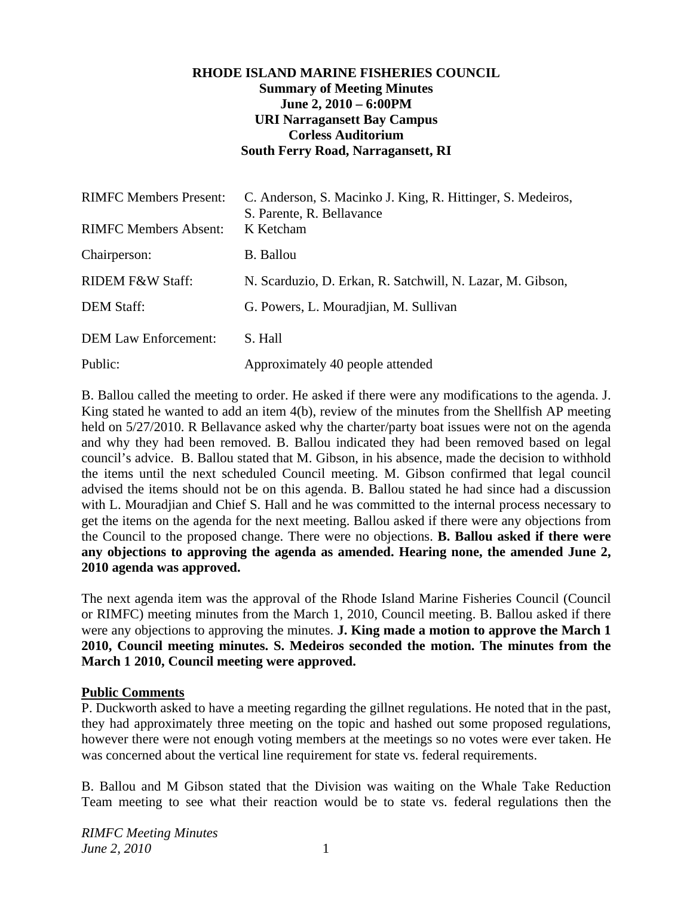#### **RHODE ISLAND MARINE FISHERIES COUNCIL Summary of Meeting Minutes June 2, 2010 – 6:00PM URI Narragansett Bay Campus Corless Auditorium South Ferry Road, Narragansett, RI**

| <b>RIMFC Members Present:</b><br><b>RIMFC Members Absent:</b> | C. Anderson, S. Macinko J. King, R. Hittinger, S. Medeiros,<br>S. Parente, R. Bellavance<br>K Ketcham |
|---------------------------------------------------------------|-------------------------------------------------------------------------------------------------------|
| Chairperson:                                                  | <b>B.</b> Ballou                                                                                      |
| <b>RIDEM F&amp;W Staff:</b>                                   | N. Scarduzio, D. Erkan, R. Satchwill, N. Lazar, M. Gibson,                                            |
| <b>DEM Staff:</b>                                             | G. Powers, L. Mouradian, M. Sullivan                                                                  |
| <b>DEM Law Enforcement:</b>                                   | S. Hall                                                                                               |
| Public:                                                       | Approximately 40 people attended                                                                      |

B. Ballou called the meeting to order. He asked if there were any modifications to the agenda. J. King stated he wanted to add an item 4(b), review of the minutes from the Shellfish AP meeting held on  $5/27/2010$ . R Bellavance asked why the charter/party boat issues were not on the agenda and why they had been removed. B. Ballou indicated they had been removed based on legal council's advice. B. Ballou stated that M. Gibson, in his absence, made the decision to withhold the items until the next scheduled Council meeting. M. Gibson confirmed that legal council advised the items should not be on this agenda. B. Ballou stated he had since had a discussion with L. Mouradjian and Chief S. Hall and he was committed to the internal process necessary to get the items on the agenda for the next meeting. Ballou asked if there were any objections from the Council to the proposed change. There were no objections. **B. Ballou asked if there were any objections to approving the agenda as amended. Hearing none, the amended June 2, 2010 agenda was approved.**

The next agenda item was the approval of the Rhode Island Marine Fisheries Council (Council or RIMFC) meeting minutes from the March 1, 2010, Council meeting. B. Ballou asked if there were any objections to approving the minutes. **J. King made a motion to approve the March 1 2010, Council meeting minutes. S. Medeiros seconded the motion. The minutes from the March 1 2010, Council meeting were approved.**

#### **Public Comments**

P. Duckworth asked to have a meeting regarding the gillnet regulations. He noted that in the past, they had approximately three meeting on the topic and hashed out some proposed regulations, however there were not enough voting members at the meetings so no votes were ever taken. He was concerned about the vertical line requirement for state vs. federal requirements.

B. Ballou and M Gibson stated that the Division was waiting on the Whale Take Reduction Team meeting to see what their reaction would be to state vs. federal regulations then the

*RIMFC Meeting Minutes June 2, 2010* 1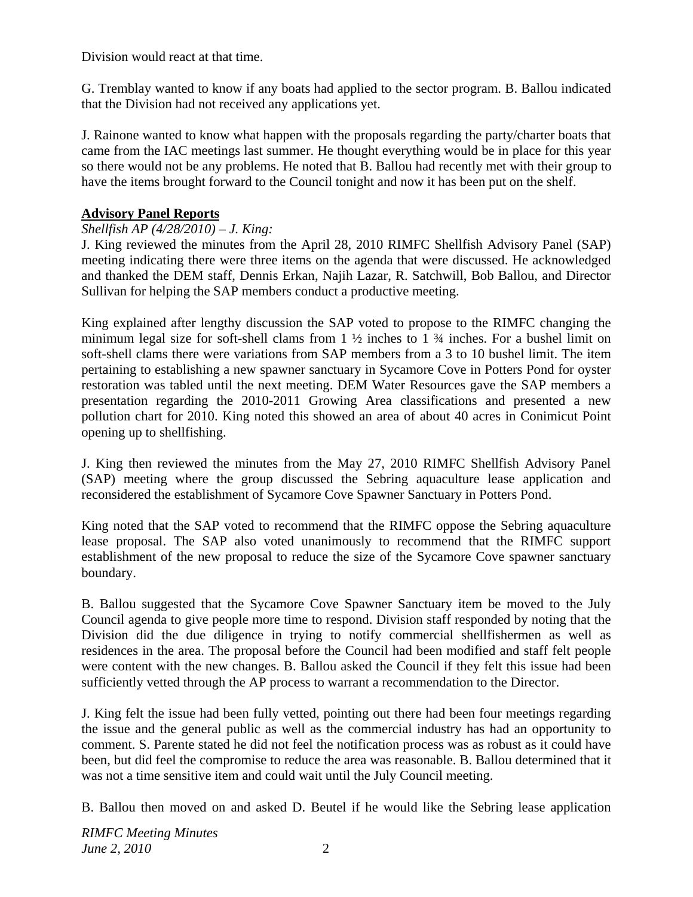Division would react at that time.

G. Tremblay wanted to know if any boats had applied to the sector program. B. Ballou indicated that the Division had not received any applications yet.

J. Rainone wanted to know what happen with the proposals regarding the party/charter boats that came from the IAC meetings last summer. He thought everything would be in place for this year so there would not be any problems. He noted that B. Ballou had recently met with their group to have the items brought forward to the Council tonight and now it has been put on the shelf.

## **Advisory Panel Reports**

## *Shellfish AP (4/28/2010) – J. King:*

J. King reviewed the minutes from the April 28, 2010 RIMFC Shellfish Advisory Panel (SAP) meeting indicating there were three items on the agenda that were discussed. He acknowledged and thanked the DEM staff, Dennis Erkan, Najih Lazar, R. Satchwill, Bob Ballou, and Director Sullivan for helping the SAP members conduct a productive meeting.

King explained after lengthy discussion the SAP voted to propose to the RIMFC changing the minimum legal size for soft-shell clams from  $1 \frac{1}{2}$  inches to  $1 \frac{3}{4}$  inches. For a bushel limit on soft-shell clams there were variations from SAP members from a 3 to 10 bushel limit. The item pertaining to establishing a new spawner sanctuary in Sycamore Cove in Potters Pond for oyster restoration was tabled until the next meeting. DEM Water Resources gave the SAP members a presentation regarding the 2010-2011 Growing Area classifications and presented a new pollution chart for 2010. King noted this showed an area of about 40 acres in Conimicut Point opening up to shellfishing.

J. King then reviewed the minutes from the May 27, 2010 RIMFC Shellfish Advisory Panel (SAP) meeting where the group discussed the Sebring aquaculture lease application and reconsidered the establishment of Sycamore Cove Spawner Sanctuary in Potters Pond.

King noted that the SAP voted to recommend that the RIMFC oppose the Sebring aquaculture lease proposal. The SAP also voted unanimously to recommend that the RIMFC support establishment of the new proposal to reduce the size of the Sycamore Cove spawner sanctuary boundary.

B. Ballou suggested that the Sycamore Cove Spawner Sanctuary item be moved to the July Council agenda to give people more time to respond. Division staff responded by noting that the Division did the due diligence in trying to notify commercial shellfishermen as well as residences in the area. The proposal before the Council had been modified and staff felt people were content with the new changes. B. Ballou asked the Council if they felt this issue had been sufficiently vetted through the AP process to warrant a recommendation to the Director.

J. King felt the issue had been fully vetted, pointing out there had been four meetings regarding the issue and the general public as well as the commercial industry has had an opportunity to comment. S. Parente stated he did not feel the notification process was as robust as it could have been, but did feel the compromise to reduce the area was reasonable. B. Ballou determined that it was not a time sensitive item and could wait until the July Council meeting.

B. Ballou then moved on and asked D. Beutel if he would like the Sebring lease application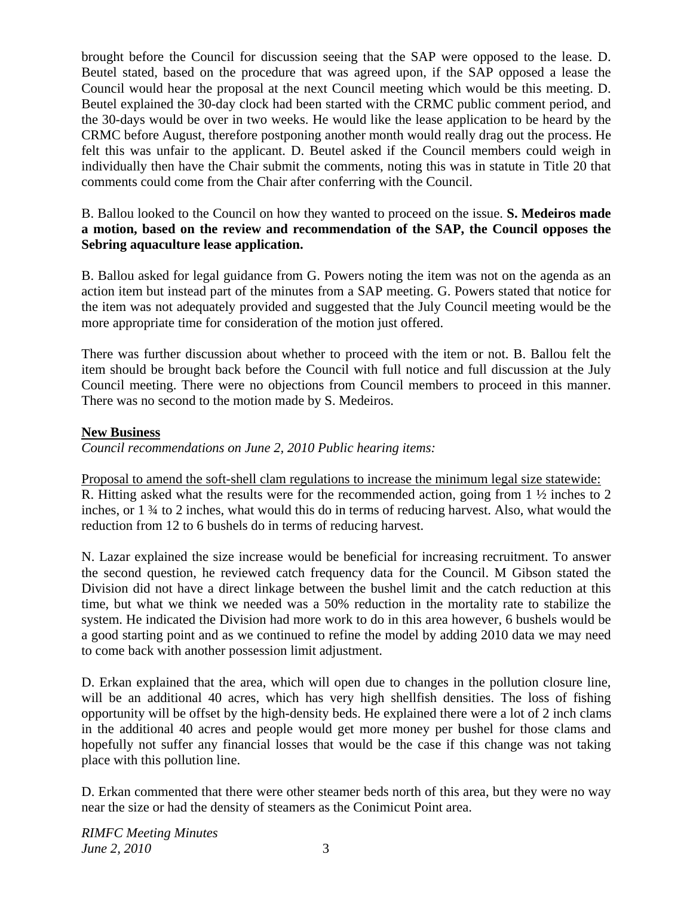brought before the Council for discussion seeing that the SAP were opposed to the lease. D. Beutel stated, based on the procedure that was agreed upon, if the SAP opposed a lease the Council would hear the proposal at the next Council meeting which would be this meeting. D. Beutel explained the 30-day clock had been started with the CRMC public comment period, and the 30-days would be over in two weeks. He would like the lease application to be heard by the CRMC before August, therefore postponing another month would really drag out the process. He felt this was unfair to the applicant. D. Beutel asked if the Council members could weigh in individually then have the Chair submit the comments, noting this was in statute in Title 20 that comments could come from the Chair after conferring with the Council.

#### B. Ballou looked to the Council on how they wanted to proceed on the issue. **S. Medeiros made a motion, based on the review and recommendation of the SAP, the Council opposes the Sebring aquaculture lease application.**

B. Ballou asked for legal guidance from G. Powers noting the item was not on the agenda as an action item but instead part of the minutes from a SAP meeting. G. Powers stated that notice for the item was not adequately provided and suggested that the July Council meeting would be the more appropriate time for consideration of the motion just offered.

There was further discussion about whether to proceed with the item or not. B. Ballou felt the item should be brought back before the Council with full notice and full discussion at the July Council meeting. There were no objections from Council members to proceed in this manner. There was no second to the motion made by S. Medeiros.

### **New Business**

*Council recommendations on June 2, 2010 Public hearing items:* 

Proposal to amend the soft-shell clam regulations to increase the minimum legal size statewide:

R. Hitting asked what the results were for the recommended action, going from 1 ½ inches to 2 inches, or 1 ¾ to 2 inches, what would this do in terms of reducing harvest. Also, what would the reduction from 12 to 6 bushels do in terms of reducing harvest.

N. Lazar explained the size increase would be beneficial for increasing recruitment. To answer the second question, he reviewed catch frequency data for the Council. M Gibson stated the Division did not have a direct linkage between the bushel limit and the catch reduction at this time, but what we think we needed was a 50% reduction in the mortality rate to stabilize the system. He indicated the Division had more work to do in this area however, 6 bushels would be a good starting point and as we continued to refine the model by adding 2010 data we may need to come back with another possession limit adjustment.

D. Erkan explained that the area, which will open due to changes in the pollution closure line, will be an additional 40 acres, which has very high shellfish densities. The loss of fishing opportunity will be offset by the high-density beds. He explained there were a lot of 2 inch clams in the additional 40 acres and people would get more money per bushel for those clams and hopefully not suffer any financial losses that would be the case if this change was not taking place with this pollution line.

D. Erkan commented that there were other steamer beds north of this area, but they were no way near the size or had the density of steamers as the Conimicut Point area.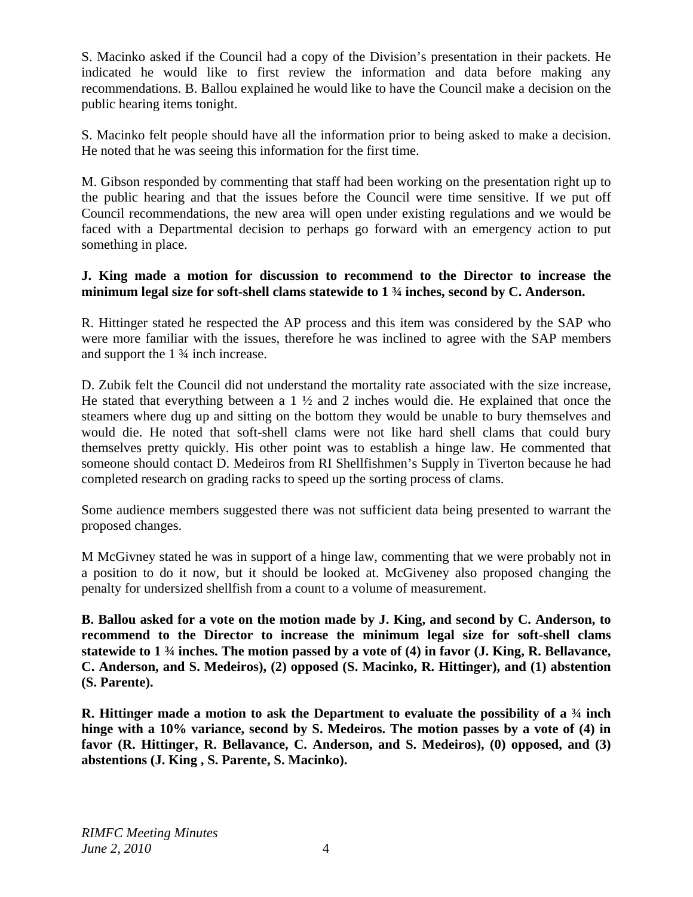S. Macinko asked if the Council had a copy of the Division's presentation in their packets. He indicated he would like to first review the information and data before making any recommendations. B. Ballou explained he would like to have the Council make a decision on the public hearing items tonight.

S. Macinko felt people should have all the information prior to being asked to make a decision. He noted that he was seeing this information for the first time.

M. Gibson responded by commenting that staff had been working on the presentation right up to the public hearing and that the issues before the Council were time sensitive. If we put off Council recommendations, the new area will open under existing regulations and we would be faced with a Departmental decision to perhaps go forward with an emergency action to put something in place.

#### **J. King made a motion for discussion to recommend to the Director to increase the minimum legal size for soft-shell clams statewide to 1 ¾ inches, second by C. Anderson.**

R. Hittinger stated he respected the AP process and this item was considered by the SAP who were more familiar with the issues, therefore he was inclined to agree with the SAP members and support the 1 ¾ inch increase.

D. Zubik felt the Council did not understand the mortality rate associated with the size increase, He stated that everything between a 1 ½ and 2 inches would die. He explained that once the steamers where dug up and sitting on the bottom they would be unable to bury themselves and would die. He noted that soft-shell clams were not like hard shell clams that could bury themselves pretty quickly. His other point was to establish a hinge law. He commented that someone should contact D. Medeiros from RI Shellfishmen's Supply in Tiverton because he had completed research on grading racks to speed up the sorting process of clams.

Some audience members suggested there was not sufficient data being presented to warrant the proposed changes.

M McGivney stated he was in support of a hinge law, commenting that we were probably not in a position to do it now, but it should be looked at. McGiveney also proposed changing the penalty for undersized shellfish from a count to a volume of measurement.

**B. Ballou asked for a vote on the motion made by J. King, and second by C. Anderson, to recommend to the Director to increase the minimum legal size for soft-shell clams statewide to 1 ¾ inches. The motion passed by a vote of (4) in favor (J. King, R. Bellavance, C. Anderson, and S. Medeiros), (2) opposed (S. Macinko, R. Hittinger), and (1) abstention (S. Parente).**

**R. Hittinger made a motion to ask the Department to evaluate the possibility of a ¾ inch hinge with a 10% variance, second by S. Medeiros. The motion passes by a vote of (4) in**  favor (R. Hittinger, R. Bellavance, C. Anderson, and S. Medeiros), (0) opposed, and (3) **abstentions (J. King , S. Parente, S. Macinko).**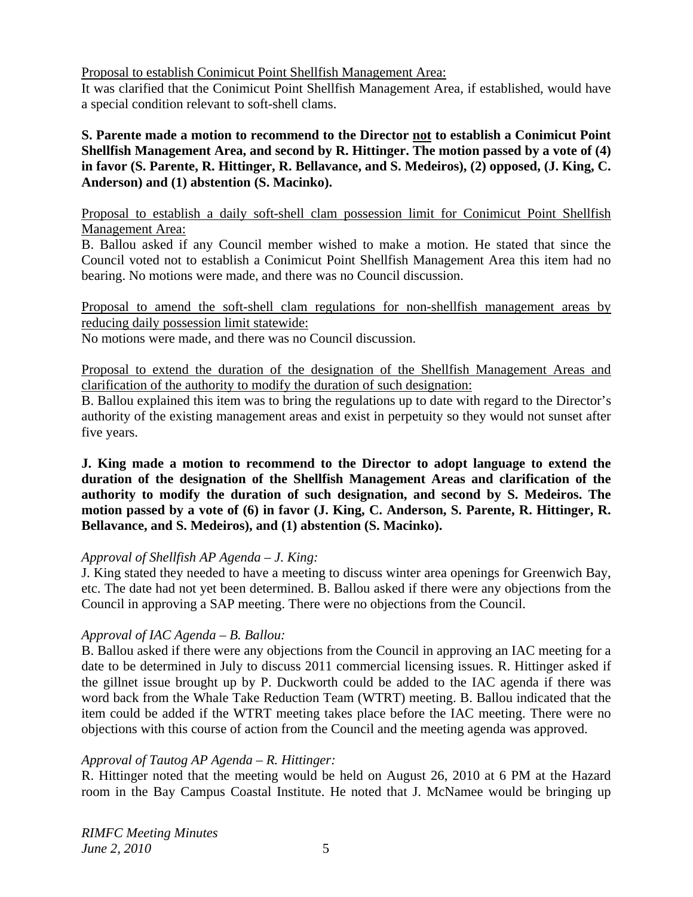Proposal to establish Conimicut Point Shellfish Management Area:

It was clarified that the Conimicut Point Shellfish Management Area, if established, would have a special condition relevant to soft-shell clams.

**S. Parente made a motion to recommend to the Director not to establish a Conimicut Point Shellfish Management Area, and second by R. Hittinger. The motion passed by a vote of (4) in favor (S. Parente, R. Hittinger, R. Bellavance, and S. Medeiros), (2) opposed, (J. King, C. Anderson) and (1) abstention (S. Macinko).** 

Proposal to establish a daily soft-shell clam possession limit for Conimicut Point Shellfish Management Area:

B. Ballou asked if any Council member wished to make a motion. He stated that since the Council voted not to establish a Conimicut Point Shellfish Management Area this item had no bearing. No motions were made, and there was no Council discussion.

Proposal to amend the soft-shell clam regulations for non-shellfish management areas by reducing daily possession limit statewide:

No motions were made, and there was no Council discussion.

Proposal to extend the duration of the designation of the Shellfish Management Areas and clarification of the authority to modify the duration of such designation:

B. Ballou explained this item was to bring the regulations up to date with regard to the Director's authority of the existing management areas and exist in perpetuity so they would not sunset after five years.

**J. King made a motion to recommend to the Director to adopt language to extend the duration of the designation of the Shellfish Management Areas and clarification of the authority to modify the duration of such designation, and second by S. Medeiros. The motion passed by a vote of (6) in favor (J. King, C. Anderson, S. Parente, R. Hittinger, R. Bellavance, and S. Medeiros), and (1) abstention (S. Macinko).** 

### *Approval of Shellfish AP Agenda – J. King:*

J. King stated they needed to have a meeting to discuss winter area openings for Greenwich Bay, etc. The date had not yet been determined. B. Ballou asked if there were any objections from the Council in approving a SAP meeting. There were no objections from the Council.

### *Approval of IAC Agenda – B. Ballou:*

B. Ballou asked if there were any objections from the Council in approving an IAC meeting for a date to be determined in July to discuss 2011 commercial licensing issues. R. Hittinger asked if the gillnet issue brought up by P. Duckworth could be added to the IAC agenda if there was word back from the Whale Take Reduction Team (WTRT) meeting. B. Ballou indicated that the item could be added if the WTRT meeting takes place before the IAC meeting. There were no objections with this course of action from the Council and the meeting agenda was approved.

### *Approval of Tautog AP Agenda – R. Hittinger:*

R. Hittinger noted that the meeting would be held on August 26, 2010 at 6 PM at the Hazard room in the Bay Campus Coastal Institute. He noted that J. McNamee would be bringing up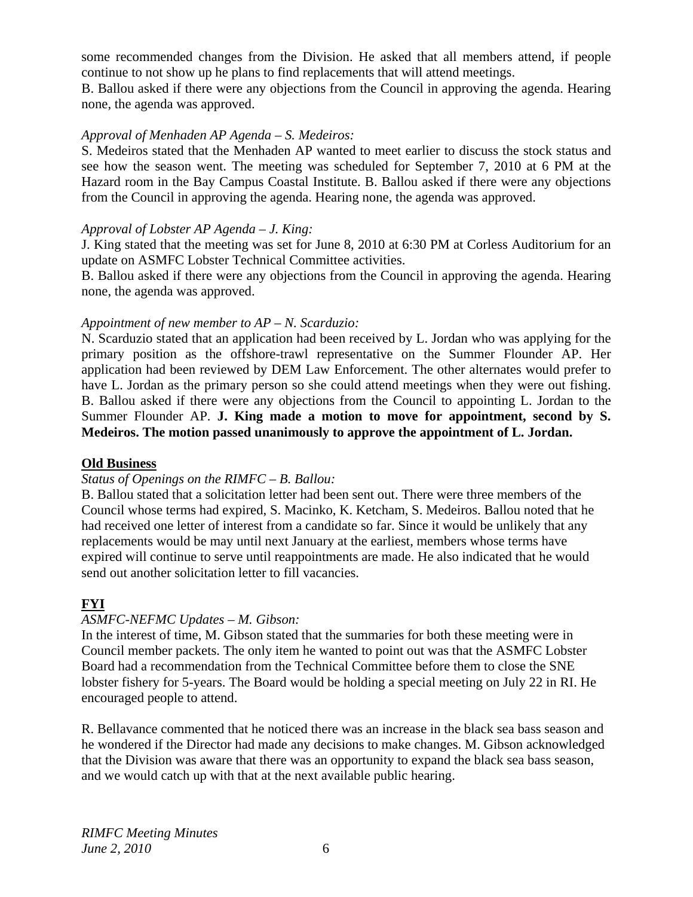some recommended changes from the Division. He asked that all members attend, if people continue to not show up he plans to find replacements that will attend meetings.

B. Ballou asked if there were any objections from the Council in approving the agenda. Hearing none, the agenda was approved.

## *Approval of Menhaden AP Agenda – S. Medeiros:*

S. Medeiros stated that the Menhaden AP wanted to meet earlier to discuss the stock status and see how the season went. The meeting was scheduled for September 7, 2010 at 6 PM at the Hazard room in the Bay Campus Coastal Institute. B. Ballou asked if there were any objections from the Council in approving the agenda. Hearing none, the agenda was approved.

## *Approval of Lobster AP Agenda – J. King:*

J. King stated that the meeting was set for June 8, 2010 at 6:30 PM at Corless Auditorium for an update on ASMFC Lobster Technical Committee activities.

B. Ballou asked if there were any objections from the Council in approving the agenda. Hearing none, the agenda was approved.

### *Appointment of new member to AP – N. Scarduzio:*

N. Scarduzio stated that an application had been received by L. Jordan who was applying for the primary position as the offshore-trawl representative on the Summer Flounder AP. Her application had been reviewed by DEM Law Enforcement. The other alternates would prefer to have L. Jordan as the primary person so she could attend meetings when they were out fishing. B. Ballou asked if there were any objections from the Council to appointing L. Jordan to the Summer Flounder AP. **J. King made a motion to move for appointment, second by S. Medeiros. The motion passed unanimously to approve the appointment of L. Jordan.** 

### **Old Business**

### *Status of Openings on the RIMFC – B. Ballou:*

B. Ballou stated that a solicitation letter had been sent out. There were three members of the Council whose terms had expired, S. Macinko, K. Ketcham, S. Medeiros. Ballou noted that he had received one letter of interest from a candidate so far. Since it would be unlikely that any replacements would be may until next January at the earliest, members whose terms have expired will continue to serve until reappointments are made. He also indicated that he would send out another solicitation letter to fill vacancies.

# **FYI**

# *ASMFC-NEFMC Updates – M. Gibson:*

In the interest of time, M. Gibson stated that the summaries for both these meeting were in Council member packets. The only item he wanted to point out was that the ASMFC Lobster Board had a recommendation from the Technical Committee before them to close the SNE lobster fishery for 5-years. The Board would be holding a special meeting on July 22 in RI. He encouraged people to attend.

R. Bellavance commented that he noticed there was an increase in the black sea bass season and he wondered if the Director had made any decisions to make changes. M. Gibson acknowledged that the Division was aware that there was an opportunity to expand the black sea bass season, and we would catch up with that at the next available public hearing.